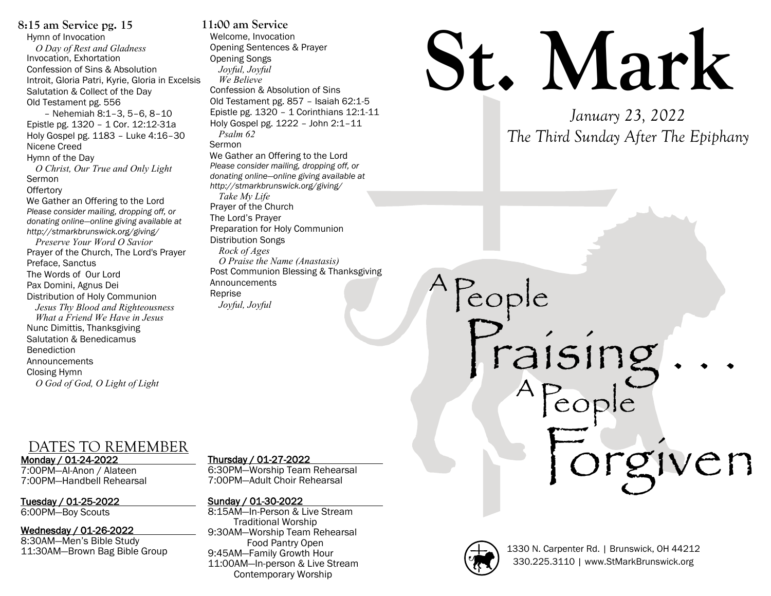**8:15 am Service pg. 15** Hymn of Invocation *O Day of Rest and Gladness* Invocation, Exhortation Confession of Sins & Absolution Introit, Gloria Patri, Kyrie, Gloria in Excelsis Salutation & Collect of the Day Old Testament pg. 556 – Nehemiah 8:1–3, 5–6, 8–10 Epistle pg. 1320 – 1 Cor. 12:12-31a Holy Gospel pg. 1183 – Luke 4:16–30 Nicene Creed Hymn of the Day *O Christ, Our True and Only Light* Sermon **Offertory** We Gather an Offering to the Lord *Please consider mailing, dropping off, or donating online—online giving available at http://stmarkbrunswick.org/giving/ Preserve Your Word O Savior* Prayer of the Church, The Lord's Prayer Preface, Sanctus The Words of Our Lord Pax Domini, Agnus Dei Distribution of Holy Communion *Jesus Thy Blood and Righteousness What a Friend We Have in Jesus* Nunc Dimittis, Thanksgiving Salutation & Benedicamus Benediction **Announcements** Closing Hymn *O God of God, O Light of Light*

**11:00 am Service** Welcome, Invocation Opening Sentences & Prayer Opening Songs *Joyful, Joyful We Believe* Confession & Absolution of Sins Old Testament pg. 857 – Isaiah 62:1-5 Epistle pg. 1320 – 1 Corinthians 12:1-11 Holy Gospel pg. 1222 – John 2:1–11 *Psalm 62* Sermon We Gather an Offering to the Lord *Please consider mailing, dropping off, or donating online—online giving available at http://stmarkbrunswick.org/giving/ Take My Life* Prayer of the Church The Lord's Prayer Preparation for Holy Communion Distribution Songs *Rock of Ages O Praise the Name (Anastasis)* Post Communion Blessing & Thanksgiving Announcements Reprise *Joyful, Joyful*

# DATES TO REMEMBER

Monday / 01-24-2022

7:00PM—Al-Anon / Alateen 7:00PM—Handbell Rehearsal

Tuesday / 01-25-2022

# 6:00PM—Boy Scouts

## Wednesday / 01-26-2022

8:30AM—Men's Bible Study 11:30AM—Brown Bag Bible Group

#### Thursday / 01-27-2022

6:30PM—Worship Team Rehearsal 7:00PM—Adult Choir Rehearsal

## Sunday / 01-30-2022

8:15AM—In-Person & Live Stream Traditional Worship 9:30AM—Worship Team Rehearsal Food Pantry Open 9:45AM—Family Growth Hour 11:00AM—In-person & Live Stream Contemporary Worship

# **St. Mark**

*January 23, 2022 The Third Sunday After The Epiphany*



A

People

A

Forgiven

Praising . . .

People